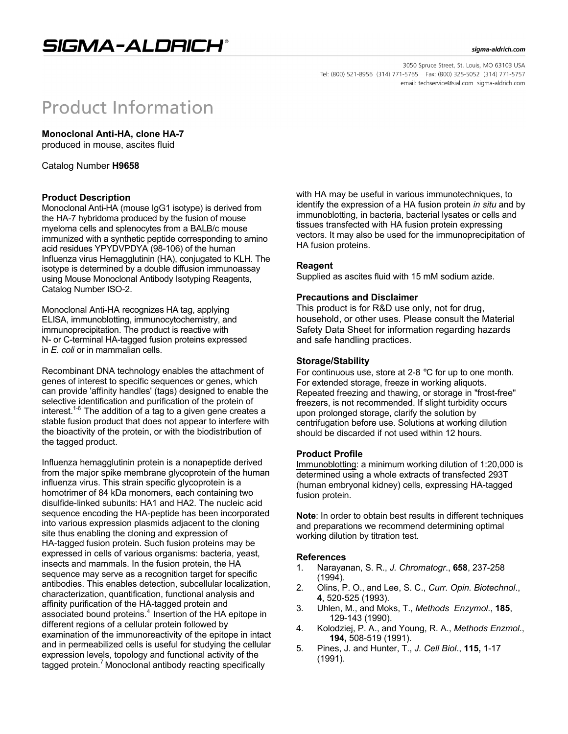# SIGMA-ALDRICH®

#### sigma-aldrich.com

3050 Spruce Street, St. Louis, MO 63103 USA Tel: (800) 521-8956 (314) 771-5765 Fax: (800) 325-5052 (314) 771-5757 email: techservice@sial.com sigma-aldrich.com

# **Product Information**

**Monoclonal Anti-HA, clone HA-7**

produced in mouse, ascites fluid

Catalog Number **H9658** 

#### **Product Description**

Monoclonal Anti-HA (mouse IgG1 isotype) is derived from the HA-7 hybridoma produced by the fusion of mouse myeloma cells and splenocytes from a BALB/c mouse immunized with a synthetic peptide corresponding to amino acid residues YPYDVPDYA (98-106) of the human Influenza virus Hemagglutinin (HA), conjugated to KLH. The isotype is determined by a double diffusion immunoassay using Mouse Monoclonal Antibody Isotyping Reagents, Catalog Number ISO-2.

Monoclonal Anti-HA recognizes HA tag, applying ELISA, immunoblotting, immunocytochemistry, and immunoprecipitation. The product is reactive with N- or C-terminal HA-tagged fusion proteins expressed in *E. coli* or in mammalian cells.

Recombinant DNA technology enables the attachment of genes of interest to specific sequences or genes, which can provide 'affinity handles' (tags) designed to enable the selective identification and purification of the protein of interest.<sup>1-6</sup> The addition of a tag to a given gene creates a stable fusion product that does not appear to interfere with the bioactivity of the protein, or with the biodistribution of the tagged product.

Influenza hemagglutinin protein is a nonapeptide derived from the major spike membrane glycoprotein of the human influenza virus. This strain specific glycoprotein is a homotrimer of 84 kDa monomers, each containing two disulfide-linked subunits: HA1 and HA2. The nucleic acid sequence encoding the HA-peptide has been incorporated into various expression plasmids adjacent to the cloning site thus enabling the cloning and expression of HA-tagged fusion protein. Such fusion proteins may be expressed in cells of various organisms: bacteria, yeast, insects and mammals. In the fusion protein, the HA sequence may serve as a recognition target for specific antibodies. This enables detection, subcellular localization, characterization, quantification, functional analysis and affinity purification of the HA-tagged protein and associated bound proteins.<sup>4</sup> Insertion of the HA epitope in different regions of a cellular protein followed by examination of the immunoreactivity of the epitope in intact and in permeabilized cells is useful for studying the cellular expression levels, topology and functional activity of the tagged protein.<sup>7</sup> Monoclonal antibody reacting specifically

with HA may be useful in various immunotechniques, to identify the expression of a HA fusion protein *in situ* and by immunoblotting, in bacteria, bacterial lysates or cells and tissues transfected with HA fusion protein expressing vectors. It may also be used for the immunoprecipitation of HA fusion proteins.

#### **Reagent**

Supplied as ascites fluid with 15 mM sodium azide.

#### **Precautions and Disclaimer**

This product is for R&D use only, not for drug, household, or other uses. Please consult the Material Safety Data Sheet for information regarding hazards and safe handling practices.

#### **Storage/Stability**

For continuous use, store at 2-8 °C for up to one month. For extended storage, freeze in working aliquots. Repeated freezing and thawing, or storage in "frost-free" freezers, is not recommended. If slight turbidity occurs upon prolonged storage, clarify the solution by centrifugation before use. Solutions at working dilution should be discarded if not used within 12 hours.

#### **Product Profile**

Immunoblotting: a minimum working dilution of 1:20,000 is determined using a whole extracts of transfected 293T (human embryonal kidney) cells, expressing HA-tagged fusion protein.

**Note**: In order to obtain best results in different techniques and preparations we recommend determining optimal working dilution by titration test.

#### **References**

- 1. Narayanan, S. R., *J. Chromatogr*., **658**, 237-258 (1994).
- 2. Olins, P. O., and Lee, S. C., *Curr. Opin. Biotechnol*., **4**, 520-525 (1993).
- 3. Uhlen, M., and Moks, T., *Methods Enzymol*., **185**, 129-143 (1990).
- 4. Kolodziej, P. A., and Young, R. A., *Methods Enzmol*., **194,** 508-519 (1991).
- 5. Pines, J. and Hunter, T., *J. Cell Biol*., **115,** 1-17 (1991).